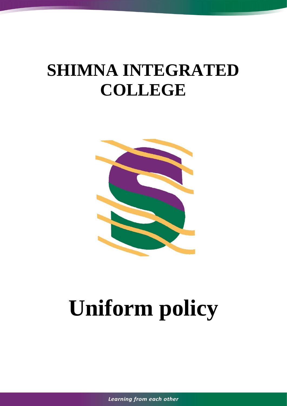## **SHIMNA INTEGRATED COLLEGE**



# **Uniform policy**

*Learning from each other*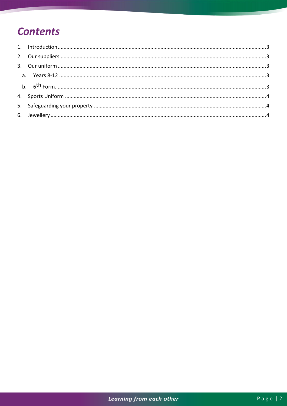## **Contents**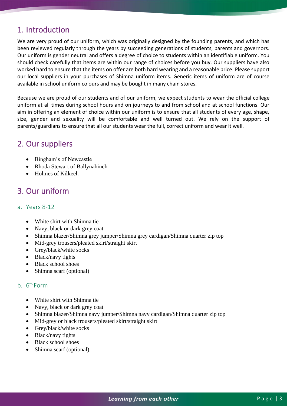## <span id="page-2-0"></span>1. Introduction

We are very proud of our uniform, which was originally designed by the founding parents, and which has been reviewed regularly through the years by succeeding generations of students, parents and governors. Our uniform is gender neutral and offers a degree of choice to students within an identifiable uniform. You should check carefully that items are within our range of choices before you buy. Our suppliers have also worked hard to ensure that the items on offer are both hard wearing and a reasonable price. Please support our local suppliers in your purchases of Shimna uniform items. Generic items of uniform are of course available in school uniform colours and may be bought in many chain stores.

Because we are proud of our students and of our uniform, we expect students to wear the official college uniform at all times during school hours and on journeys to and from school and at school functions. Our aim in offering an element of choice within our uniform is to ensure that all students of every age, shape, size, gender and sexuality will be comfortable and well turned out. We rely on the support of parents/guardians to ensure that all our students wear the full, correct uniform and wear it well.

## <span id="page-2-1"></span>2. Our suppliers

- Bingham's of Newcastle
- Rhoda Stewart of Ballynahinch
- Holmes of Kilkeel

### <span id="page-2-2"></span>3. Our uniform

#### <span id="page-2-3"></span>a. Years 8-12

- White shirt with Shimna tie
- Navy, black or dark grey coat
- Shimna blazer/Shimna grey jumper/Shimna grey cardigan/Shimna quarter zip top
- Mid-grey trousers/pleated skirt/straight skirt
- Grey/black/white socks
- Black/navy tights
- Black school shoes
- Shimna scarf (optional)

#### <span id="page-2-4"></span>b.  $6<sup>th</sup> Form$

- White shirt with Shimna tie
- Navy, black or dark grey coat
- Shimna blazer/Shimna navy jumper/Shimna navy cardigan/Shimna quarter zip top
- Mid-grey or black trousers/pleated skirt/straight skirt
- Grey/black/white socks
- Black/navy tights
- Black school shoes
- Shimna scarf (optional).